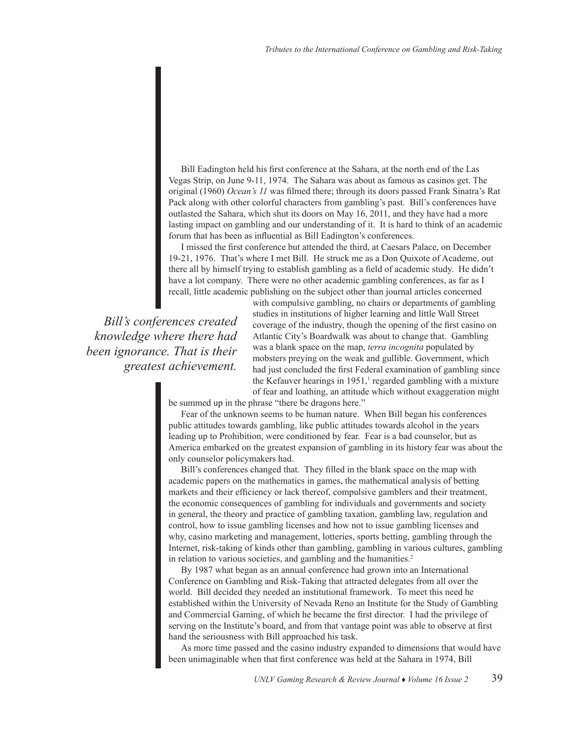Bill Eadington held his first conference at the Sahara, at the north end of the Las Vegas Strip, on June 9-11, 1974. The Sahara was about as famous as casinos get. The original (1960) *Ocean's 11* was filmed there; through its doors passed Frank Sinatra's Rat Pack along with other colorful characters from gambling's past. Bill's conferences have outlasted the Sahara, which shut its doors on May 16, 2011, and they have had a more lasting impact on gambling and our understanding of it. It is hard to think of an academic forum that has been as influential as Bill Eadington's conferences.

I missed the first conference but attended the third, at Caesars Palace, on December 19-21, 1976. That's where I met Bill. He struck me as a Don Quixote of Academe, out there all by himself trying to establish gambling as a field of academic study. He didn't have a lot company. There were no other academic gambling conferences, as far as I recall, little academic publishing on the subject other than journal articles concerned

*Bill's conferences created knowledge where there had been ignorance. That is their greatest achievement.* 

with compulsive gambling, no chairs or departments of gambling studies in institutions of higher learning and little Wall Street coverage of the industry, though the opening of the first casino on Atlantic City's Boardwalk was about to change that. Gambling was a blank space on the map, *terra incognita* populated by mobsters preying on the weak and gullible. Government, which had just concluded the first Federal examination of gambling since the Kefauver hearings in  $1951$ ,<sup>1</sup> regarded gambling with a mixture of fear and loathing, an attitude which without exaggeration might

be summed up in the phrase "there be dragons here."

Fear of the unknown seems to be human nature. When Bill began his conferences public attitudes towards gambling, like public attitudes towards alcohol in the years leading up to Prohibition, were conditioned by fear. Fear is a bad counselor, but as America embarked on the greatest expansion of gambling in its history fear was about the only counselor policymakers had.

Bill's conferences changed that. They filled in the blank space on the map with academic papers on the mathematics in games, the mathematical analysis of betting markets and their efficiency or lack thereof, compulsive gamblers and their treatment, the economic consequences of gambling for individuals and governments and society in general, the theory and practice of gambling taxation, gambling law, regulation and control, how to issue gambling licenses and how not to issue gambling licenses and why, casino marketing and management, lotteries, sports betting, gambling through the Internet, risk-taking of kinds other than gambling, gambling in various cultures, gambling in relation to various societies, and gambling and the humanities.<sup>2</sup>

By 1987 what began as an annual conference had grown into an International Conference on Gambling and Risk-Taking that attracted delegates from all over the world. Bill decided they needed an institutional framework. To meet this need he established within the University of Nevada Reno an Institute for the Study of Gambling and Commercial Gaming, of which he became the first director. I had the privilege of serving on the Institute's board, and from that vantage point was able to observe at first hand the seriousness with Bill approached his task.

As more time passed and the casino industry expanded to dimensions that would have been unimaginable when that first conference was held at the Sahara in 1974, Bill